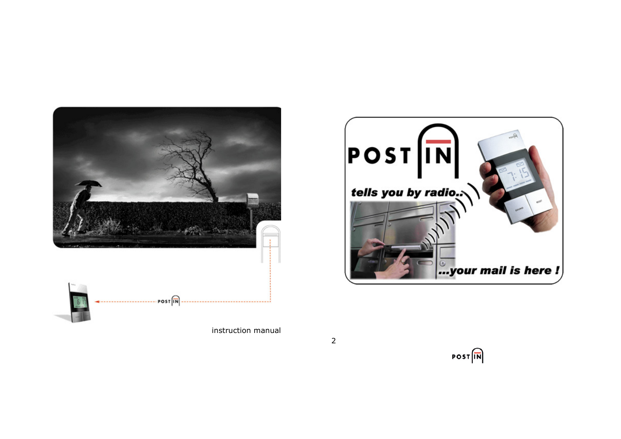

instruction manual





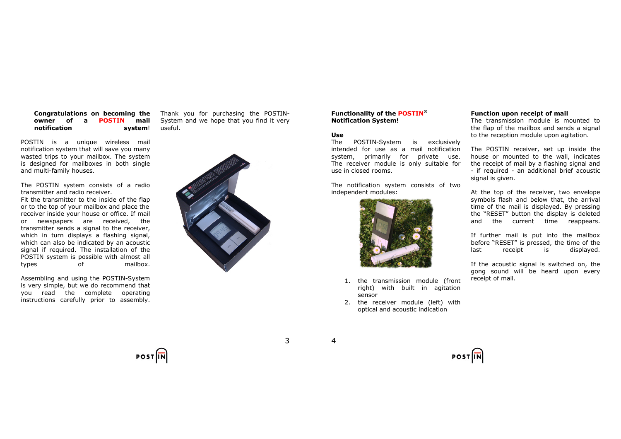# Congratulations on becoming the owner of a POSTIN mail notification system!

POSTIN is a unique wireless mail notification system that will save you many wasted trips to your mailbox. The system is designed for mailboxes in both single and multi-family houses.

The POSTIN system consists of a radio transmitter and radio receiver.

 Fit the transmitter to the inside of the flap or to the top of your mailbox and place the receiver inside your house or office. If mail or newspapers are received, the transmitter sends a signal to the receiver, which in turn displays a flashing signal, which can also be indicated by an acoustic signal if required. The installation of the POSTIN system is possible with almost all types of mailbox.

Assembling and using the POSTIN-System is very simple, but we do recommend that you read the complete operating instructions carefully prior to assembly.

Thank you for purchasing the POSTIN-System and we hope that you find it very useful.



# Functionality of the POSTIN® Notification System!

#### Use

The POSTIN-System is exclusively intended for use as a mail notification system, primarily for private use. The receiver module is only suitable for use in closed rooms.

The notification system consists of two independent modules:



- 1. the transmission module (front right) with built in agitation sensor
- 2. the receiver module (left) with optical and acoustic indication

# Function upon receipt of mail

 The transmission module is mounted to the flap of the mailbox and sends a signal to the reception module upon agitation.

The POSTIN receiver, set up inside the house or mounted to the wall, indicates the receipt of mail by a flashing signal and - if required - an additional brief acoustic signal is given.

At the top of the receiver, two envelope symbols flash and below that, the arrival time of the mail is displayed. By pressing the "RESET" button the display is deleted and the current time reappears.

If further mail is put into the mailbox before "RESET" is pressed, the time of the last receipt is displayed.

If the acoustic signal is switched on, the gong sound will be heard upon every receipt of mail.

4



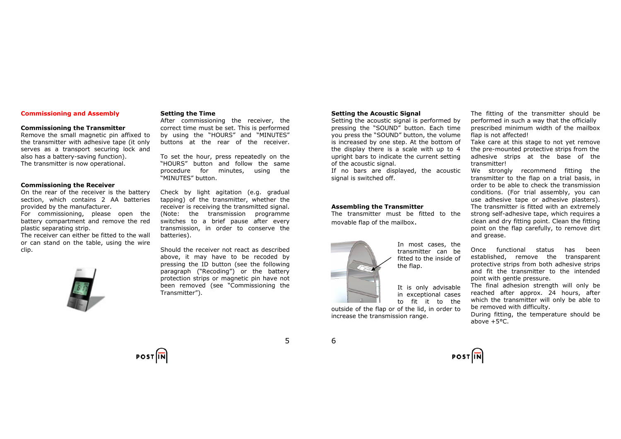## Commissioning and Assembly

#### Commissioning the Transmitter

 Remove the small magnetic pin affixed to the transmitter with adhesive tape (it only serves as a transport securing lock and also has a battery-saving function). The transmitter is now operational.

#### Commissioning the Receiver

 On the rear of the receiver is the battery section, which contains 2 AA batteries provided by the manufacturer.

 For commissioning, please open the battery compartment and remove the red plastic separating strip.

 The receiver can either be fitted to the wall or can stand on the table, using the wire clip.



# Setting the Time

 After commissioning the receiver, the correct time must be set. This is performed by using the "HOURS" and "MINUTES" buttons at the rear of the receiver.

To set the hour, press repeatedly on the "HOURS" button and follow the same procedure for minutes, using the "MINUTES" button.

Check by light agitation (e.g. gradual tapping) of the transmitter, whether the receiver is receiving the transmitted signal. (Note: the transmission programme switches to a brief pause after every transmission, in order to conserve the batteries).

Should the receiver not react as described above, it may have to be recoded by pressing the ID button (see the following paragraph ("Recoding") or the battery protection strips or magnetic pin have not been removed (see "Commissioning the Transmitter").

# Setting the Acoustic Signal

 Setting the acoustic signal is performed by pressing the "SOUND" button. Each time you press the "SOUND" button, the volume is increased by one step. At the bottom of the display there is a scale with up to 4 upright bars to indicate the current setting of the acoustic signal.

 If no bars are displayed, the acoustic signal is switched off.

#### Assembling the Transmitter

increase the transmission range.

 The transmitter must be fitted to the movable flap of the mailbox.



In most cases, the transmitter can be fitted to the inside of the flap.

It is only advisable in exceptional cases to fit it to the outside of the flap or of the lid, in order to

The fitting of the transmitter should be performed in such a way that the officially prescribed minimum width of the mailbox flap is not affected!

 Take care at this stage to not yet remove the pre-mounted protective strips from the adhesive strips at the base of the transmitter!

 We strongly recommend fitting the transmitter to the flap on a trial basis, in order to be able to check the transmission conditions. (For trial assembly, you can use adhesive tape or adhesive plasters). The transmitter is fitted with an extremely strong self-adhesive tape, which requires a clean and dry fitting point. Clean the fitting point on the flap carefully, to remove dirt and grease.

Once functional status has been established, remove the transparent protective strips from both adhesive strips and fit the transmitter to the intended point with gentle pressure.

 The final adhesion strength will only be reached after approx. 24 hours, after which the transmitter will only be able to be removed with difficulty.

 During fitting, the temperature should be above +5°C.



6

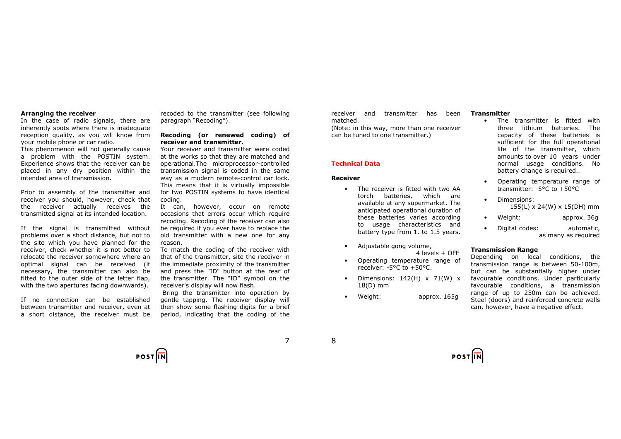#### Arranging the receiver

 In the case of radio signals, there are inherently spots where there is inadequate reception quality, as you will know from your mobile phone or car radio.

 This phenomenon will not generally cause a problem with the POSTIN system. Experience shows that the receiver can be placed in any dry position within the intended area of transmission.

Prior to assembly of the transmitter and receiver you should, however, check that the receiver actually receives the transmitted signal at its intended location.

If the signal is transmitted without problems over a short distance, but not to the site which you have planned for the receiver, check whether it is not better to relocate the receiver somewhere where an optimal signal can be received (if necessary, the transmitter can also be fitted to the outer side of the letter flap, with the two apertures facing downwards).

If no connection can be established between transmitter and receiver, even at a short distance, the receiver must be recoded to the transmitter (see following paragraph "Recoding").

## Recoding (or renewed coding) of receiver and transmitter.

 Your receiver and transmitter were coded at the works so that they are matched and operational.The microprocessor-controlled transmission signal is coded in the same way as a modern remote-control car lock. This means that it is virtually impossible for two POSTIN systems to have identical coding.

 It can, however, occur on remote occasions that errors occur which require recoding. Recoding of the receiver can also be required if you ever have to replace the old transmitter with a new one for any reason.

 To match the coding of the receiver with that of the transmitter, site the receiver in the immediate proximity of the transmitter and press the "ID" button at the rear of the transmitter. The "ID" symbol on the receiver's display will now flash.

 Bring the transmitter into operation by gentle tapping. The receiver display will then show some flashing digits for a brief period, indicating that the coding of the receiver and transmitter has been matched.

 (Note: in this way, more than one receiver can be tuned to one transmitter.)

## Technical Data

# Receiver

- The receiver is fitted with two AA torch batteries, which are available at any supermarket. The anticipated operational duration of these batteries varies according to usage characteristics and battery type from 1. to 1.5 years.
- Adjustable gong volume, 4 levels + OFF
- Operating temperature range of receiver: -5°C to +50°C.
- Dimensions:  $142(H) \times 71(W) \times$ 18(D) mm
- Weight: approx. 165g

# **Transmitter**

- The transmitter is fitted with three lithium batteries. The capacity of these batteries is sufficient for the full operational life of the transmitter, which amounts to over 10 years under normal usage conditions. No battery change is required..
- Operating temperature range of transmitter: -5°C to +50°C
- Dimensions: 155(L) x 24(W) x 15(DH) mm
- Weight: approx. 36g
- Digital codes: automatic, as many as required

## Transmission Range

 Depending on local conditions, the transmission range is between 50-100m, but can be substantially higher under favourable conditions. Under particularly favourable conditions, a transmission range of up to 250m can be achieved. Steel (doors) and reinforced concrete walls can, however, have a negative effect.



8

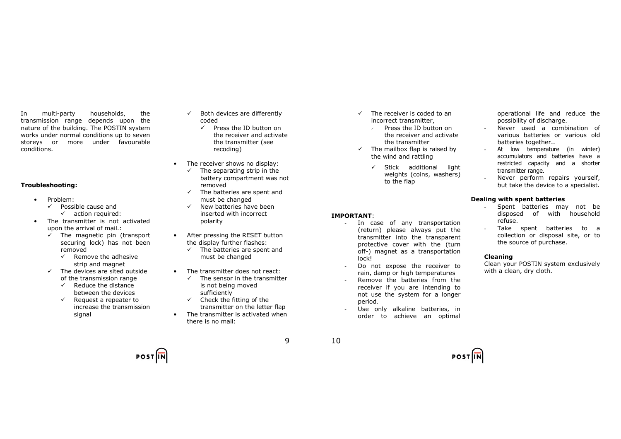In multi-party households, the transmission range depends upon the nature of the building. The POSTIN system works under normal conditions up to seven storeys or more under favourable conditions.

# Troubleshooting:

- Problem:
	- $\checkmark$  Possible cause and
		- $\checkmark$  action required:
- The transmitter is not activated upon the arrival of mail.:
	- $\checkmark$  The magnetic pin (transport securing lock) has not been removed
		- $\checkmark$  Remove the adhesive strip and magnet
	- $\checkmark$  The devices are sited outside of the transmission range
		- $\checkmark$  Reduce the distance between the devices
		- $\checkmark$  Request a repeater to increase the transmission signal
- $\checkmark$  Both devices are differently coded
	- $\checkmark$  Press the ID button on the receiver and activate the transmitter (see recoding)
- The receiver shows no display:
	- $\checkmark$  The separating strip in the battery compartment was not removed
	- $\checkmark$  The batteries are spent and must be changed
	- $\checkmark$  New batteries have been inserted with incorrect polarity
- After pressing the RESET button the display further flashes:
	- $\checkmark$  The batteries are spent and must be changed
- The transmitter does not react:
	- $\checkmark$  The sensor in the transmitter is not being moved sufficiently
	- $\checkmark$  Check the fitting of the transmitter on the letter flap
- The transmitter is activated when there is no mail:
- $\checkmark$  The receiver is coded to an incorrect transmitter,
	- $\sqrt{ }$  Press the ID button on the receiver and activate the transmitter
- $\checkmark$  The mailbox flap is raised by the wind and rattling

 - In case of any transportation (return) please always put the transmitter into the transparent protective cover with the (turn off-) magnet as a transportation

 - Do not expose the receiver to rain, damp or high temperatures - Remove the batteries from the receiver if you are intending to not use the system for a longer

 - Use only alkaline batteries, in order to achieve an optimal

 $\checkmark$  Stick additional light weights (coins, washers) to the flap

operational life and reduce the possibility of discharge.

- Never used a combination of various batteries or various old batteries together..
- At low temperature (in winter) accumulators and batteries have a restricted capacity and a shorter transmitter range.
- Never perform repairs yourself, but take the device to a specialist.

## Dealing with spent batteries

- Spent batteries may not be disposed of with household refuse.
- Take spent batteries to a collection or disposal site, or to the source of purchase.

# Cleaning

 Clean your POSTIN system exclusively with a clean, dry cloth.

**POST**IN

10

IMPORTANT:

lock!

period.